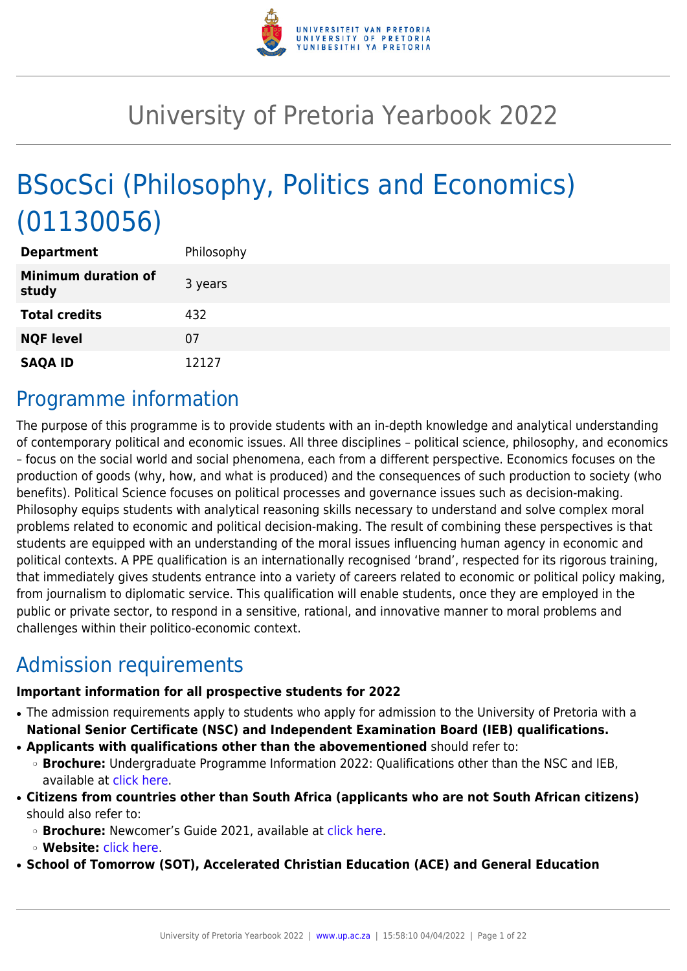

# University of Pretoria Yearbook 2022

# BSocSci (Philosophy, Politics and Economics) (01130056)

| <b>Department</b>                   | Philosophy |
|-------------------------------------|------------|
| <b>Minimum duration of</b><br>study | 3 years    |
| <b>Total credits</b>                | 432        |
| <b>NQF level</b>                    | 07         |
| <b>SAQA ID</b>                      | 12127      |

## Programme information

The purpose of this programme is to provide students with an in-depth knowledge and analytical understanding of contemporary political and economic issues. All three disciplines – political science, philosophy, and economics – focus on the social world and social phenomena, each from a different perspective. Economics focuses on the production of goods (why, how, and what is produced) and the consequences of such production to society (who benefits). Political Science focuses on political processes and governance issues such as decision-making. Philosophy equips students with analytical reasoning skills necessary to understand and solve complex moral problems related to economic and political decision-making. The result of combining these perspectives is that students are equipped with an understanding of the moral issues influencing human agency in economic and political contexts. A PPE qualification is an internationally recognised 'brand', respected for its rigorous training, that immediately gives students entrance into a variety of careers related to economic or political policy making, from journalism to diplomatic service. This qualification will enable students, once they are employed in the public or private sector, to respond in a sensitive, rational, and innovative manner to moral problems and challenges within their politico-economic context.

# Admission requirements

#### **Important information for all prospective students for 2022**

- The admission requirements apply to students who apply for admission to the University of Pretoria with a **National Senior Certificate (NSC) and Independent Examination Board (IEB) qualifications.**
- **Applicants with qualifications other than the abovementioned** should refer to:
- ❍ **Brochure:** Undergraduate Programme Information 2022: Qualifications other than the NSC and IEB, available at [click here.](https://www.up.ac.za/students/article/2749263/admission-information)
- **Citizens from countries other than South Africa (applicants who are not South African citizens)** should also refer to:
	- ❍ **Brochure:** Newcomer's Guide 2021, available at [click here.](https://www.up.ac.za/students/article/2749263/admission-information)
	- ❍ **Website:** [click here](http://www.up.ac.za/international-cooperation-division).

● **School of Tomorrow (SOT), Accelerated Christian Education (ACE) and General Education**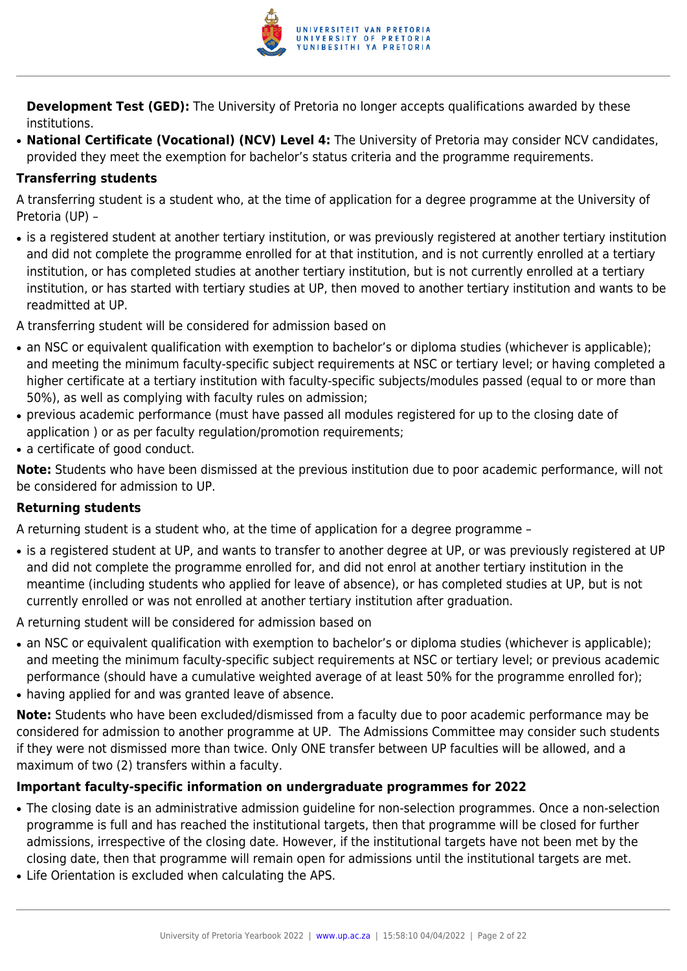

**Development Test (GED):** The University of Pretoria no longer accepts qualifications awarded by these institutions.

● **National Certificate (Vocational) (NCV) Level 4:** The University of Pretoria may consider NCV candidates, provided they meet the exemption for bachelor's status criteria and the programme requirements.

#### **Transferring students**

A transferring student is a student who, at the time of application for a degree programme at the University of Pretoria (UP) –

• is a registered student at another tertiary institution, or was previously registered at another tertiary institution and did not complete the programme enrolled for at that institution, and is not currently enrolled at a tertiary institution, or has completed studies at another tertiary institution, but is not currently enrolled at a tertiary institution, or has started with tertiary studies at UP, then moved to another tertiary institution and wants to be readmitted at UP.

A transferring student will be considered for admission based on

- an NSC or equivalent qualification with exemption to bachelor's or diploma studies (whichever is applicable); and meeting the minimum faculty-specific subject requirements at NSC or tertiary level; or having completed a higher certificate at a tertiary institution with faculty-specific subjects/modules passed (equal to or more than 50%), as well as complying with faculty rules on admission;
- previous academic performance (must have passed all modules registered for up to the closing date of application ) or as per faculty regulation/promotion requirements;
- a certificate of good conduct.

**Note:** Students who have been dismissed at the previous institution due to poor academic performance, will not be considered for admission to UP.

#### **Returning students**

A returning student is a student who, at the time of application for a degree programme –

• is a registered student at UP, and wants to transfer to another degree at UP, or was previously registered at UP and did not complete the programme enrolled for, and did not enrol at another tertiary institution in the meantime (including students who applied for leave of absence), or has completed studies at UP, but is not currently enrolled or was not enrolled at another tertiary institution after graduation.

A returning student will be considered for admission based on

- an NSC or equivalent qualification with exemption to bachelor's or diploma studies (whichever is applicable); and meeting the minimum faculty-specific subject requirements at NSC or tertiary level; or previous academic performance (should have a cumulative weighted average of at least 50% for the programme enrolled for);
- having applied for and was granted leave of absence.

**Note:** Students who have been excluded/dismissed from a faculty due to poor academic performance may be considered for admission to another programme at UP. The Admissions Committee may consider such students if they were not dismissed more than twice. Only ONE transfer between UP faculties will be allowed, and a maximum of two (2) transfers within a faculty.

#### **Important faculty-specific information on undergraduate programmes for 2022**

- The closing date is an administrative admission guideline for non-selection programmes. Once a non-selection programme is full and has reached the institutional targets, then that programme will be closed for further admissions, irrespective of the closing date. However, if the institutional targets have not been met by the closing date, then that programme will remain open for admissions until the institutional targets are met.
- Life Orientation is excluded when calculating the APS.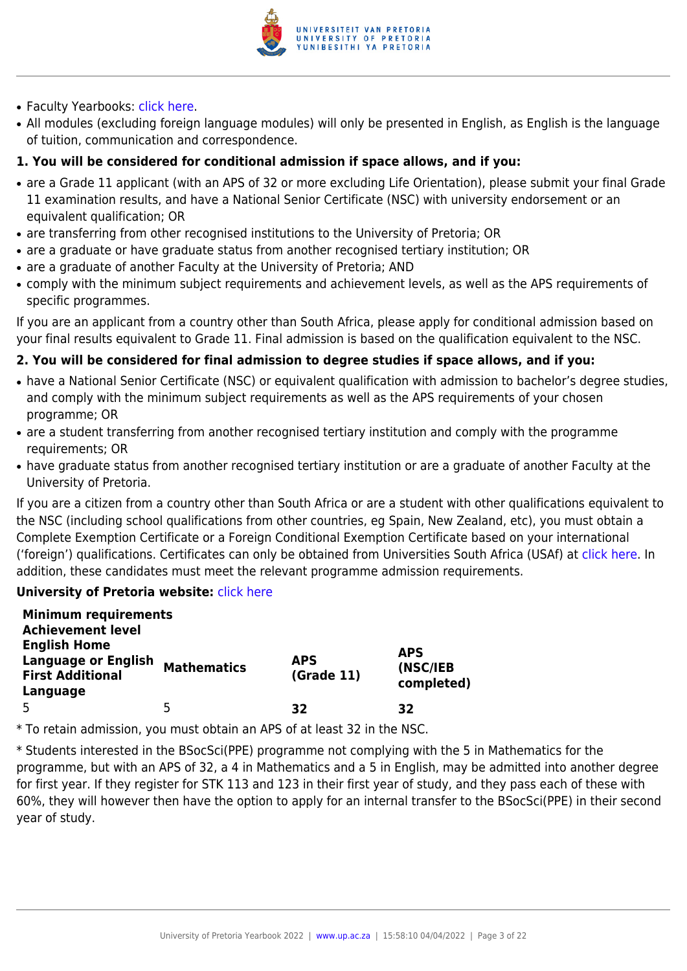

- Faculty Yearbooks: [click here](http://www.up.ac.za/yearbooks/home).
- All modules (excluding foreign language modules) will only be presented in English, as English is the language of tuition, communication and correspondence.

#### **1. You will be considered for conditional admission if space allows, and if you:**

- are a Grade 11 applicant (with an APS of 32 or more excluding Life Orientation), please submit your final Grade 11 examination results, and have a National Senior Certificate (NSC) with university endorsement or an equivalent qualification; OR
- are transferring from other recognised institutions to the University of Pretoria; OR
- are a graduate or have graduate status from another recognised tertiary institution; OR
- are a graduate of another Faculty at the University of Pretoria; AND
- comply with the minimum subject requirements and achievement levels, as well as the APS requirements of specific programmes.

If you are an applicant from a country other than South Africa, please apply for conditional admission based on your final results equivalent to Grade 11. Final admission is based on the qualification equivalent to the NSC.

#### **2. You will be considered for final admission to degree studies if space allows, and if you:**

- have a National Senior Certificate (NSC) or equivalent qualification with admission to bachelor's degree studies, and comply with the minimum subject requirements as well as the APS requirements of your chosen programme; OR
- are a student transferring from another recognised tertiary institution and comply with the programme requirements; OR
- have graduate status from another recognised tertiary institution or are a graduate of another Faculty at the University of Pretoria.

If you are a citizen from a country other than South Africa or are a student with other qualifications equivalent to the NSC (including school qualifications from other countries, eg Spain, New Zealand, etc), you must obtain a Complete Exemption Certificate or a Foreign Conditional Exemption Certificate based on your international ('foreign') qualifications. Certificates can only be obtained from Universities South Africa (USAf) at [click here](http://www.mb.usaf.ac.za). In addition, these candidates must meet the relevant programme admission requirements.

#### **University of Pretoria website: [click here](http://www.up.ac.za/faculty-of-humanities)**

| <b>Minimum requirements</b><br><b>Achievement level</b>                                  |                    |                          |                                      |
|------------------------------------------------------------------------------------------|--------------------|--------------------------|--------------------------------------|
| <b>English Home</b><br><b>Language or English</b><br><b>First Additional</b><br>Language | <b>Mathematics</b> | <b>APS</b><br>(Grade 11) | <b>APS</b><br>(NSC/IEB<br>completed) |
| 5                                                                                        | 5                  | 32                       | 32                                   |

\* To retain admission, you must obtain an APS of at least 32 in the NSC.

\* Students interested in the BSocSci(PPE) programme not complying with the 5 in Mathematics for the programme, but with an APS of 32, a 4 in Mathematics and a 5 in English, may be admitted into another degree for first year. If they register for STK 113 and 123 in their first year of study, and they pass each of these with 60%, they will however then have the option to apply for an internal transfer to the BSocSci(PPE) in their second year of study.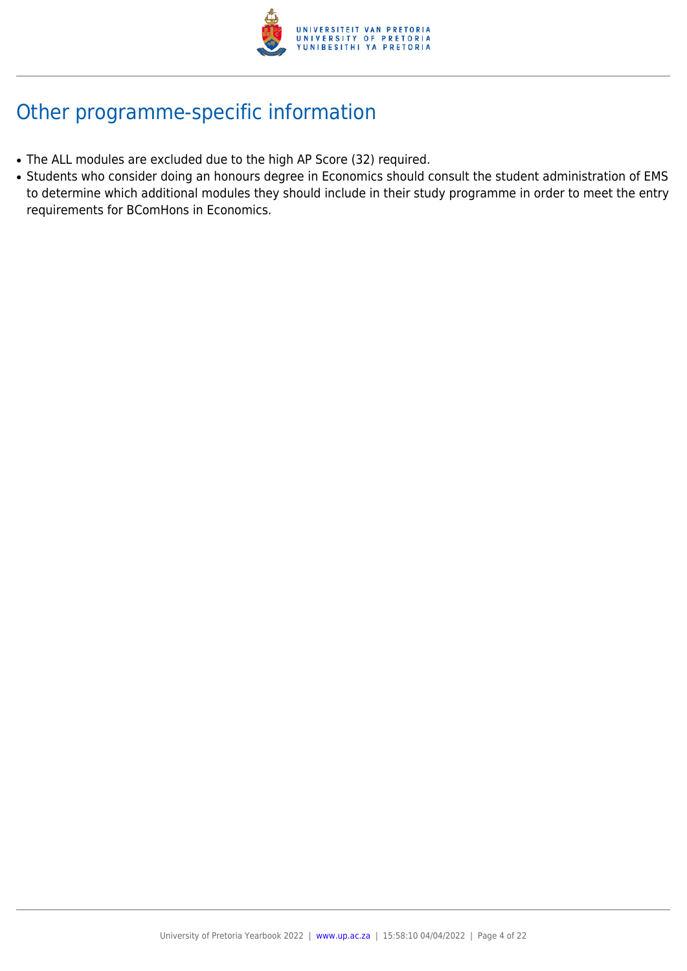

# Other programme-specific information

- The ALL modules are excluded due to the high AP Score (32) required.
- Students who consider doing an honours degree in Economics should consult the student administration of EMS to determine which additional modules they should include in their study programme in order to meet the entry requirements for BComHons in Economics.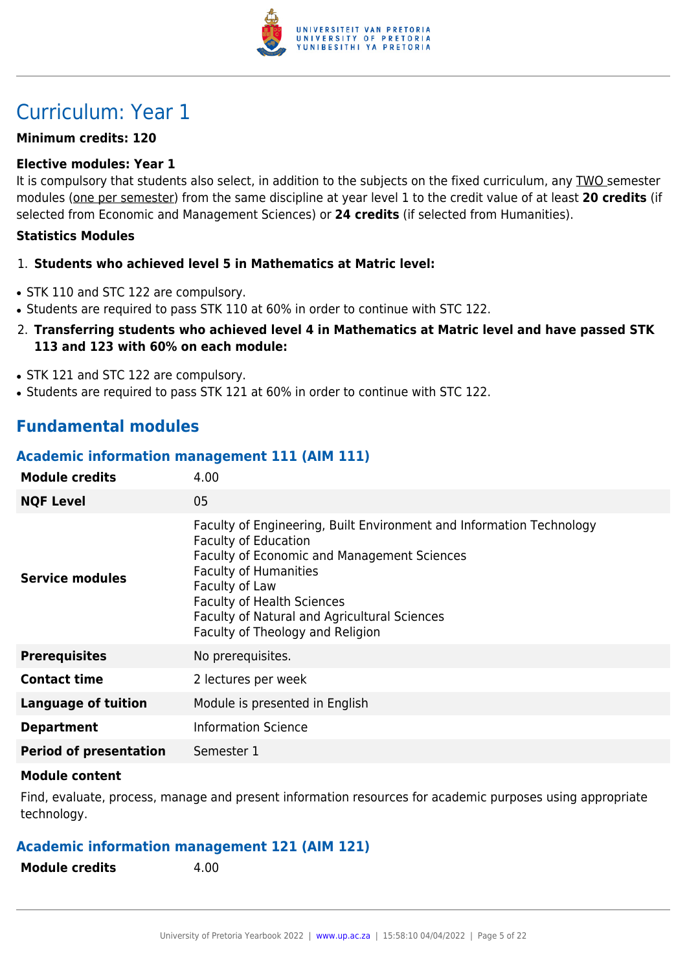

# Curriculum: Year 1

#### **Minimum credits: 120**

#### **Elective modules: Year 1**

It is compulsory that students also select, in addition to the subjects on the fixed curriculum, any TWO semester modules (one per semester) from the same discipline at year level 1 to the credit value of at least **20 credits** (if selected from Economic and Management Sciences) or **24 credits** (if selected from Humanities).

#### **Statistics Modules**

#### 1. **Students who achieved level 5 in Mathematics at Matric level:**

- STK 110 and STC 122 are compulsory.
- Students are required to pass STK 110 at 60% in order to continue with STC 122.
- 2. **Transferring students who achieved level 4 in Mathematics at Matric level and have passed STK 113 and 123 with 60% on each module:**
- STK 121 and STC 122 are compulsory.
- Students are required to pass STK 121 at 60% in order to continue with STC 122.

### **Fundamental modules**

#### **Academic information management 111 (AIM 111)**

| <b>Module credits</b>         | 4.00                                                                                                                                                                                                                                                                                                                          |  |
|-------------------------------|-------------------------------------------------------------------------------------------------------------------------------------------------------------------------------------------------------------------------------------------------------------------------------------------------------------------------------|--|
| <b>NQF Level</b>              | 05                                                                                                                                                                                                                                                                                                                            |  |
| Service modules               | Faculty of Engineering, Built Environment and Information Technology<br><b>Faculty of Education</b><br>Faculty of Economic and Management Sciences<br><b>Faculty of Humanities</b><br>Faculty of Law<br><b>Faculty of Health Sciences</b><br>Faculty of Natural and Agricultural Sciences<br>Faculty of Theology and Religion |  |
| <b>Prerequisites</b>          | No prerequisites.                                                                                                                                                                                                                                                                                                             |  |
| <b>Contact time</b>           | 2 lectures per week                                                                                                                                                                                                                                                                                                           |  |
| <b>Language of tuition</b>    | Module is presented in English                                                                                                                                                                                                                                                                                                |  |
| <b>Department</b>             | <b>Information Science</b>                                                                                                                                                                                                                                                                                                    |  |
| <b>Period of presentation</b> | Semester 1                                                                                                                                                                                                                                                                                                                    |  |

#### **Module content**

Find, evaluate, process, manage and present information resources for academic purposes using appropriate technology.

#### **Academic information management 121 (AIM 121)**

**Module credits** 4.00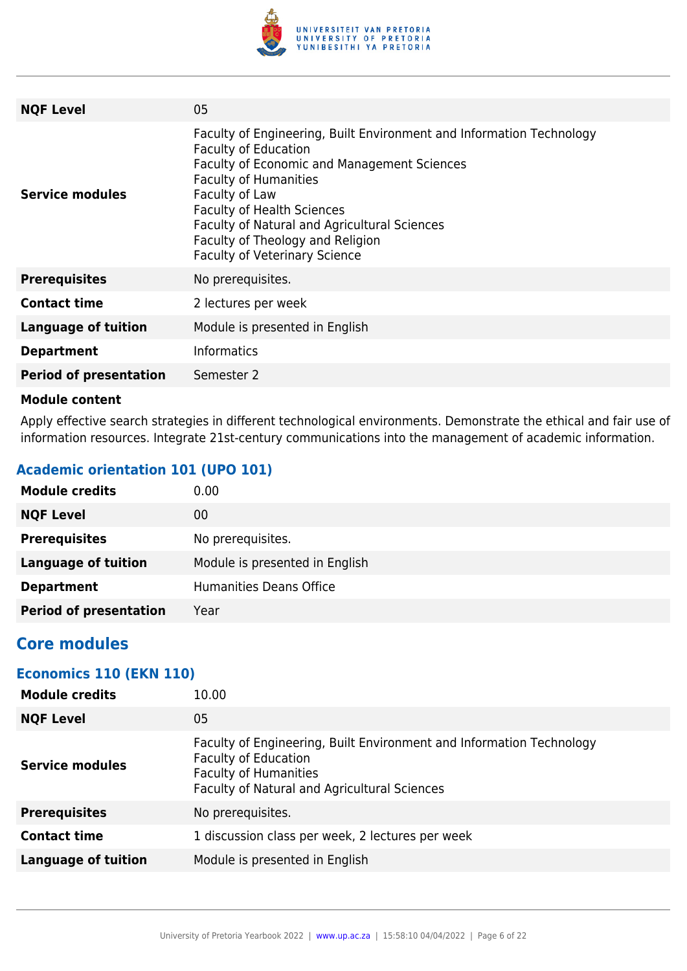

| <b>NQF Level</b>              | 05                                                                                                                                                                                                                                                                                                                                                                    |
|-------------------------------|-----------------------------------------------------------------------------------------------------------------------------------------------------------------------------------------------------------------------------------------------------------------------------------------------------------------------------------------------------------------------|
| Service modules               | Faculty of Engineering, Built Environment and Information Technology<br><b>Faculty of Education</b><br>Faculty of Economic and Management Sciences<br><b>Faculty of Humanities</b><br>Faculty of Law<br><b>Faculty of Health Sciences</b><br>Faculty of Natural and Agricultural Sciences<br>Faculty of Theology and Religion<br><b>Faculty of Veterinary Science</b> |
| <b>Prerequisites</b>          | No prerequisites.                                                                                                                                                                                                                                                                                                                                                     |
| <b>Contact time</b>           | 2 lectures per week                                                                                                                                                                                                                                                                                                                                                   |
| <b>Language of tuition</b>    | Module is presented in English                                                                                                                                                                                                                                                                                                                                        |
| <b>Department</b>             | <b>Informatics</b>                                                                                                                                                                                                                                                                                                                                                    |
| <b>Period of presentation</b> | Semester 2                                                                                                                                                                                                                                                                                                                                                            |
|                               |                                                                                                                                                                                                                                                                                                                                                                       |

Apply effective search strategies in different technological environments. Demonstrate the ethical and fair use of information resources. Integrate 21st-century communications into the management of academic information.

### **Academic orientation 101 (UPO 101)**

| <b>Module credits</b>         | 0.00                           |
|-------------------------------|--------------------------------|
| <b>NQF Level</b>              | 00                             |
| <b>Prerequisites</b>          | No prerequisites.              |
| <b>Language of tuition</b>    | Module is presented in English |
| <b>Department</b>             | <b>Humanities Deans Office</b> |
| <b>Period of presentation</b> | Year                           |

## **Core modules**

#### **Economics 110 (EKN 110)**

| <b>Module credits</b>      | 10.00                                                                                                                                                                               |
|----------------------------|-------------------------------------------------------------------------------------------------------------------------------------------------------------------------------------|
| <b>NQF Level</b>           | 05                                                                                                                                                                                  |
| <b>Service modules</b>     | Faculty of Engineering, Built Environment and Information Technology<br><b>Faculty of Education</b><br><b>Faculty of Humanities</b><br>Faculty of Natural and Agricultural Sciences |
| <b>Prerequisites</b>       | No prerequisites.                                                                                                                                                                   |
| <b>Contact time</b>        | 1 discussion class per week, 2 lectures per week                                                                                                                                    |
| <b>Language of tuition</b> | Module is presented in English                                                                                                                                                      |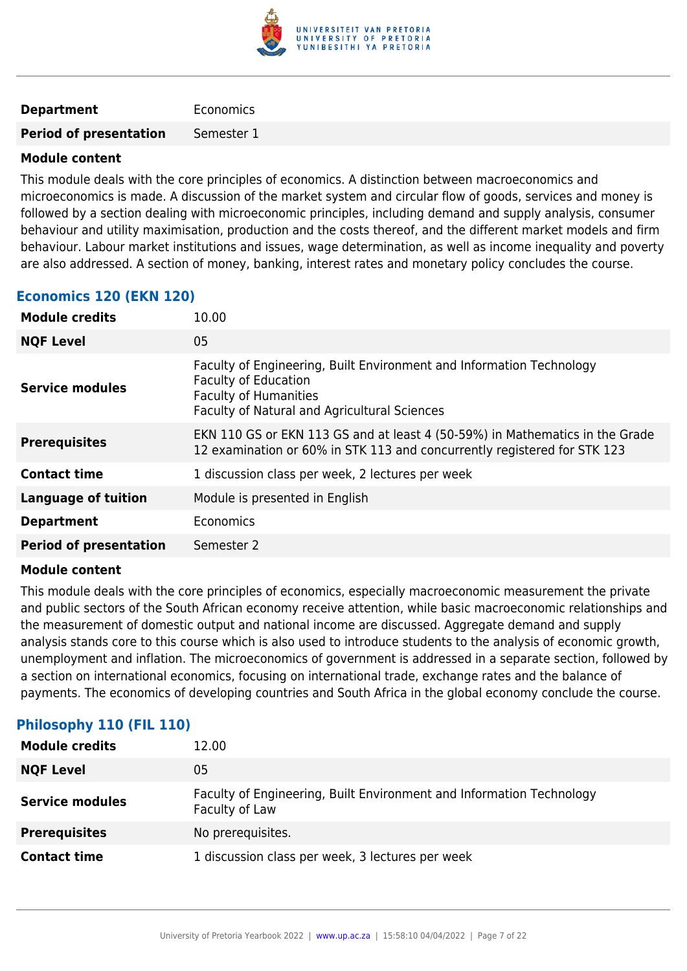

#### **Department** Economics

**Period of presentation** Semester 1

#### **Module content**

This module deals with the core principles of economics. A distinction between macroeconomics and microeconomics is made. A discussion of the market system and circular flow of goods, services and money is followed by a section dealing with microeconomic principles, including demand and supply analysis, consumer behaviour and utility maximisation, production and the costs thereof, and the different market models and firm behaviour. Labour market institutions and issues, wage determination, as well as income inequality and poverty are also addressed. A section of money, banking, interest rates and monetary policy concludes the course.

#### **Economics 120 (EKN 120)**

| <b>Module credits</b>         | 10.00                                                                                                                                                                               |
|-------------------------------|-------------------------------------------------------------------------------------------------------------------------------------------------------------------------------------|
| <b>NQF Level</b>              | 05                                                                                                                                                                                  |
| Service modules               | Faculty of Engineering, Built Environment and Information Technology<br><b>Faculty of Education</b><br><b>Faculty of Humanities</b><br>Faculty of Natural and Agricultural Sciences |
| <b>Prerequisites</b>          | EKN 110 GS or EKN 113 GS and at least 4 (50-59%) in Mathematics in the Grade<br>12 examination or 60% in STK 113 and concurrently registered for STK 123                            |
| <b>Contact time</b>           | 1 discussion class per week, 2 lectures per week                                                                                                                                    |
| <b>Language of tuition</b>    | Module is presented in English                                                                                                                                                      |
| <b>Department</b>             | Economics                                                                                                                                                                           |
| <b>Period of presentation</b> | Semester 2                                                                                                                                                                          |
|                               |                                                                                                                                                                                     |

#### **Module content**

This module deals with the core principles of economics, especially macroeconomic measurement the private and public sectors of the South African economy receive attention, while basic macroeconomic relationships and the measurement of domestic output and national income are discussed. Aggregate demand and supply analysis stands core to this course which is also used to introduce students to the analysis of economic growth, unemployment and inflation. The microeconomics of government is addressed in a separate section, followed by a section on international economics, focusing on international trade, exchange rates and the balance of payments. The economics of developing countries and South Africa in the global economy conclude the course.

| <b>Module credits</b>  | 12.00                                                                                  |
|------------------------|----------------------------------------------------------------------------------------|
| <b>NQF Level</b>       | 05                                                                                     |
| <b>Service modules</b> | Faculty of Engineering, Built Environment and Information Technology<br>Faculty of Law |
| <b>Prerequisites</b>   | No prerequisites.                                                                      |
| <b>Contact time</b>    | 1 discussion class per week, 3 lectures per week                                       |

#### **Philosophy 110 (FIL 110)**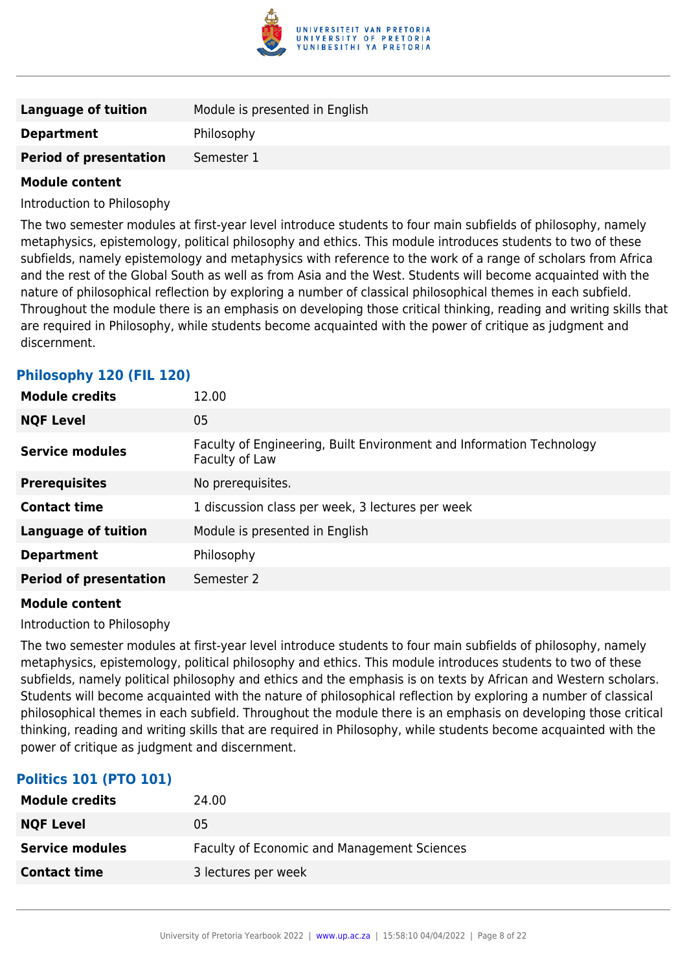

| Language of tuition           | Module is presented in English |
|-------------------------------|--------------------------------|
| <b>Department</b>             | Philosophy                     |
| <b>Period of presentation</b> | Semester 1                     |
|                               |                                |

Introduction to Philosophy

The two semester modules at first-year level introduce students to four main subfields of philosophy, namely metaphysics, epistemology, political philosophy and ethics. This module introduces students to two of these subfields, namely epistemology and metaphysics with reference to the work of a range of scholars from Africa and the rest of the Global South as well as from Asia and the West. Students will become acquainted with the nature of philosophical reflection by exploring a number of classical philosophical themes in each subfield. Throughout the module there is an emphasis on developing those critical thinking, reading and writing skills that are required in Philosophy, while students become acquainted with the power of critique as judgment and discernment.

| <b>Module credits</b>         | 12.00                                                                                  |
|-------------------------------|----------------------------------------------------------------------------------------|
| <b>NQF Level</b>              | 05                                                                                     |
| <b>Service modules</b>        | Faculty of Engineering, Built Environment and Information Technology<br>Faculty of Law |
| <b>Prerequisites</b>          | No prerequisites.                                                                      |
| <b>Contact time</b>           | 1 discussion class per week, 3 lectures per week                                       |
| <b>Language of tuition</b>    | Module is presented in English                                                         |
| <b>Department</b>             | Philosophy                                                                             |
| <b>Period of presentation</b> | Semester 2                                                                             |

#### **Philosophy 120 (FIL 120)**

#### **Module content**

Introduction to Philosophy

The two semester modules at first-year level introduce students to four main subfields of philosophy, namely metaphysics, epistemology, political philosophy and ethics. This module introduces students to two of these subfields, namely political philosophy and ethics and the emphasis is on texts by African and Western scholars. Students will become acquainted with the nature of philosophical reflection by exploring a number of classical philosophical themes in each subfield. Throughout the module there is an emphasis on developing those critical thinking, reading and writing skills that are required in Philosophy, while students become acquainted with the power of critique as judgment and discernment.

#### **Politics 101 (PTO 101)**

| <b>Module credits</b>  | 24.00                                       |
|------------------------|---------------------------------------------|
| <b>NQF Level</b>       | 05                                          |
| <b>Service modules</b> | Faculty of Economic and Management Sciences |
| <b>Contact time</b>    | 3 lectures per week                         |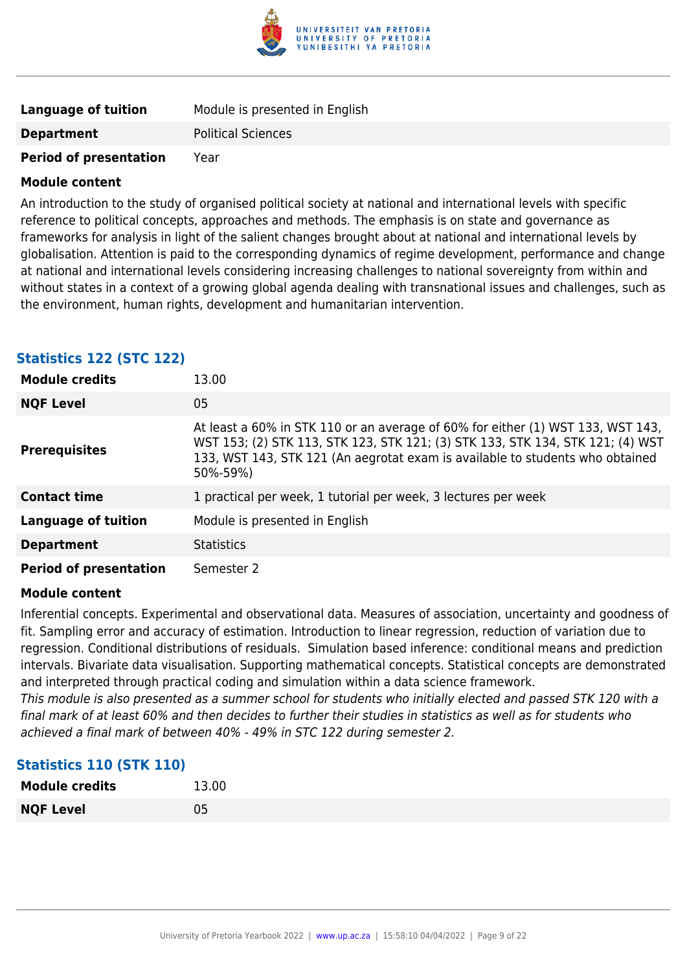

| Language of tuition           | Module is presented in English |
|-------------------------------|--------------------------------|
| <b>Department</b>             | <b>Political Sciences</b>      |
| <b>Period of presentation</b> | Year                           |

An introduction to the study of organised political society at national and international levels with specific reference to political concepts, approaches and methods. The emphasis is on state and governance as frameworks for analysis in light of the salient changes brought about at national and international levels by globalisation. Attention is paid to the corresponding dynamics of regime development, performance and change at national and international levels considering increasing challenges to national sovereignty from within and without states in a context of a growing global agenda dealing with transnational issues and challenges, such as the environment, human rights, development and humanitarian intervention.

| <b>Module credits</b>         | 13.00                                                                                                                                                                                                                                                          |
|-------------------------------|----------------------------------------------------------------------------------------------------------------------------------------------------------------------------------------------------------------------------------------------------------------|
| <b>NQF Level</b>              | 05                                                                                                                                                                                                                                                             |
| <b>Prerequisites</b>          | At least a 60% in STK 110 or an average of 60% for either (1) WST 133, WST 143,<br>WST 153; (2) STK 113, STK 123, STK 121; (3) STK 133, STK 134, STK 121; (4) WST<br>133, WST 143, STK 121 (An aegrotat exam is available to students who obtained<br>50%-59%) |
| <b>Contact time</b>           | 1 practical per week, 1 tutorial per week, 3 lectures per week                                                                                                                                                                                                 |
| <b>Language of tuition</b>    | Module is presented in English                                                                                                                                                                                                                                 |
| <b>Department</b>             | <b>Statistics</b>                                                                                                                                                                                                                                              |
| <b>Period of presentation</b> | Semester 2                                                                                                                                                                                                                                                     |

#### **Statistics 122 (STC 122)**

#### **Module content**

Inferential concepts. Experimental and observational data. Measures of association, uncertainty and goodness of fit. Sampling error and accuracy of estimation. Introduction to linear regression, reduction of variation due to regression. Conditional distributions of residuals. Simulation based inference: conditional means and prediction intervals. Bivariate data visualisation. Supporting mathematical concepts. Statistical concepts are demonstrated and interpreted through practical coding and simulation within a data science framework.

This module is also presented as a summer school for students who initially elected and passed STK 120 with a final mark of at least 60% and then decides to further their studies in statistics as well as for students who achieved a final mark of between 40% - 49% in STC 122 during semester 2.

| <b>Module credits</b> | 13.00 |
|-----------------------|-------|
| <b>NQF Level</b>      | 05    |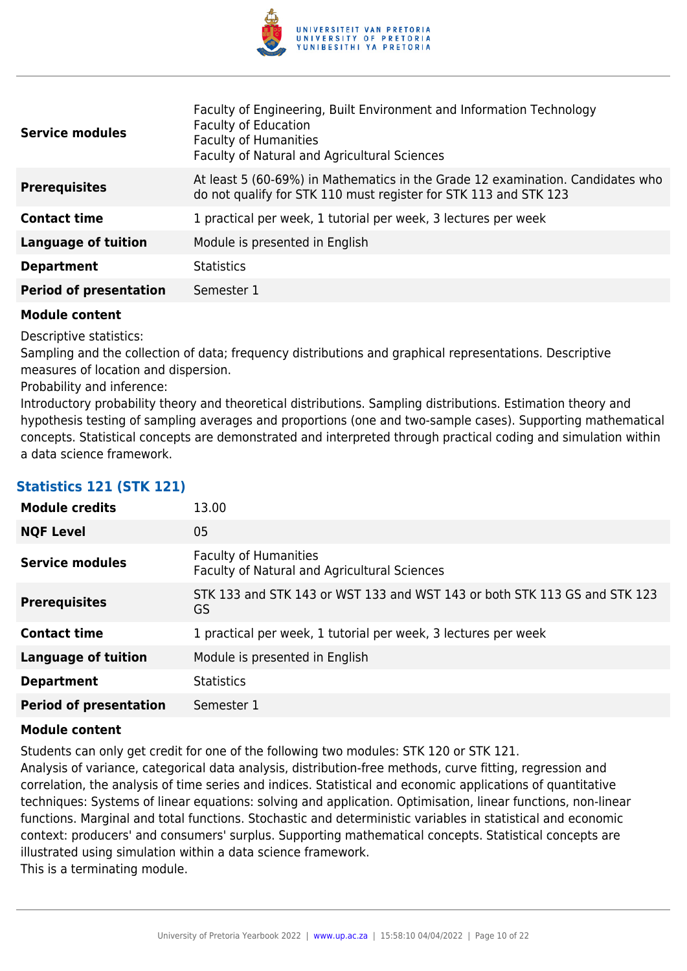

| <b>Service modules</b>        | Faculty of Engineering, Built Environment and Information Technology<br><b>Faculty of Education</b><br><b>Faculty of Humanities</b><br>Faculty of Natural and Agricultural Sciences |
|-------------------------------|-------------------------------------------------------------------------------------------------------------------------------------------------------------------------------------|
| <b>Prerequisites</b>          | At least 5 (60-69%) in Mathematics in the Grade 12 examination. Candidates who<br>do not qualify for STK 110 must register for STK 113 and STK 123                                  |
| <b>Contact time</b>           | 1 practical per week, 1 tutorial per week, 3 lectures per week                                                                                                                      |
| <b>Language of tuition</b>    | Module is presented in English                                                                                                                                                      |
| <b>Department</b>             | <b>Statistics</b>                                                                                                                                                                   |
| <b>Period of presentation</b> | Semester 1                                                                                                                                                                          |

Descriptive statistics:

Sampling and the collection of data; frequency distributions and graphical representations. Descriptive measures of location and dispersion.

Probability and inference:

Introductory probability theory and theoretical distributions. Sampling distributions. Estimation theory and hypothesis testing of sampling averages and proportions (one and two-sample cases). Supporting mathematical concepts. Statistical concepts are demonstrated and interpreted through practical coding and simulation within a data science framework.

| <b>Module credits</b><br>13.00              |                                                                              |
|---------------------------------------------|------------------------------------------------------------------------------|
| <b>NQF Level</b><br>05                      |                                                                              |
| <b>Service modules</b>                      | <b>Faculty of Humanities</b><br>Faculty of Natural and Agricultural Sciences |
| <b>Prerequisites</b><br>GS                  | STK 133 and STK 143 or WST 133 and WST 143 or both STK 113 GS and STK 123    |
| <b>Contact time</b>                         | 1 practical per week, 1 tutorial per week, 3 lectures per week               |
| <b>Language of tuition</b>                  | Module is presented in English                                               |
| <b>Statistics</b><br><b>Department</b>      |                                                                              |
| <b>Period of presentation</b><br>Semester 1 |                                                                              |

### **Statistics 121 (STK 121)**

#### **Module content**

Students can only get credit for one of the following two modules: STK 120 or STK 121.

Analysis of variance, categorical data analysis, distribution-free methods, curve fitting, regression and correlation, the analysis of time series and indices. Statistical and economic applications of quantitative techniques: Systems of linear equations: solving and application. Optimisation, linear functions, non-linear functions. Marginal and total functions. Stochastic and deterministic variables in statistical and economic context: producers' and consumers' surplus. Supporting mathematical concepts. Statistical concepts are illustrated using simulation within a data science framework.

This is a terminating module.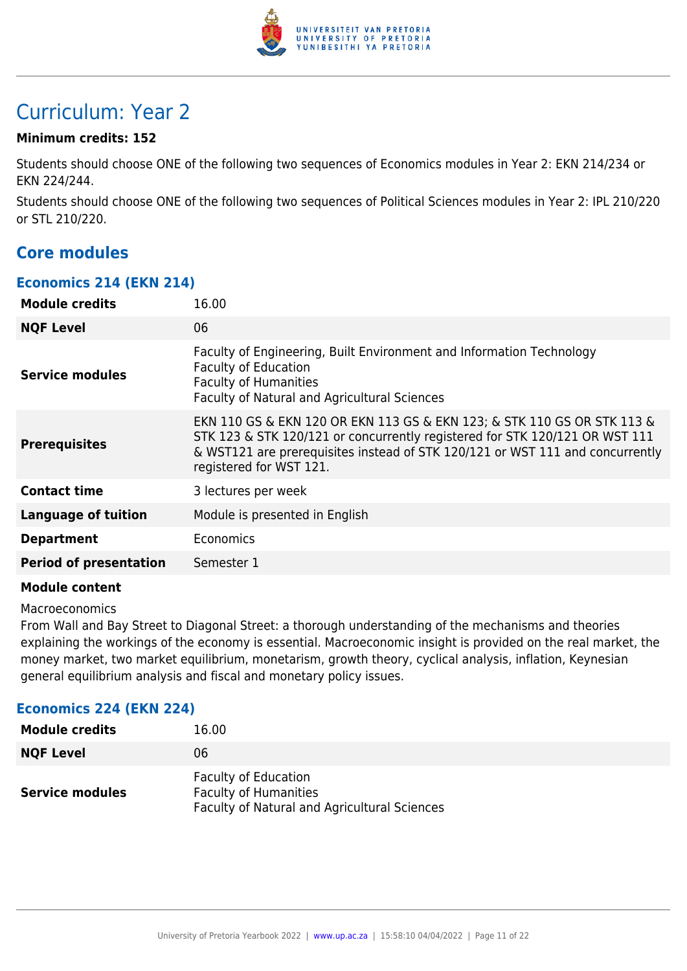

# Curriculum: Year 2

#### **Minimum credits: 152**

Students should choose ONE of the following two sequences of Economics modules in Year 2: EKN 214/234 or EKN 224/244.

Students should choose ONE of the following two sequences of Political Sciences modules in Year 2: IPL 210/220 or STL 210/220.

### **Core modules**

#### **Economics 214 (EKN 214)**

| <b>Module credits</b>         | 16.00                                                                                                                                                                                                                                                              |
|-------------------------------|--------------------------------------------------------------------------------------------------------------------------------------------------------------------------------------------------------------------------------------------------------------------|
| <b>NQF Level</b>              | 06                                                                                                                                                                                                                                                                 |
| <b>Service modules</b>        | Faculty of Engineering, Built Environment and Information Technology<br><b>Faculty of Education</b><br><b>Faculty of Humanities</b><br>Faculty of Natural and Agricultural Sciences                                                                                |
| <b>Prerequisites</b>          | EKN 110 GS & EKN 120 OR EKN 113 GS & EKN 123; & STK 110 GS OR STK 113 &<br>STK 123 & STK 120/121 or concurrently registered for STK 120/121 OR WST 111<br>& WST121 are prerequisites instead of STK 120/121 or WST 111 and concurrently<br>registered for WST 121. |
| <b>Contact time</b>           | 3 lectures per week                                                                                                                                                                                                                                                |
| <b>Language of tuition</b>    | Module is presented in English                                                                                                                                                                                                                                     |
| <b>Department</b>             | Economics                                                                                                                                                                                                                                                          |
| <b>Period of presentation</b> | Semester 1                                                                                                                                                                                                                                                         |
|                               |                                                                                                                                                                                                                                                                    |

#### **Module content**

#### Macroeconomics

From Wall and Bay Street to Diagonal Street: a thorough understanding of the mechanisms and theories explaining the workings of the economy is essential. Macroeconomic insight is provided on the real market, the money market, two market equilibrium, monetarism, growth theory, cyclical analysis, inflation, Keynesian general equilibrium analysis and fiscal and monetary policy issues.

#### **Economics 224 (EKN 224)**

| <b>Module credits</b>  | 16.00                                                                                                       |
|------------------------|-------------------------------------------------------------------------------------------------------------|
| <b>NQF Level</b>       | 06                                                                                                          |
| <b>Service modules</b> | <b>Faculty of Education</b><br><b>Faculty of Humanities</b><br>Faculty of Natural and Agricultural Sciences |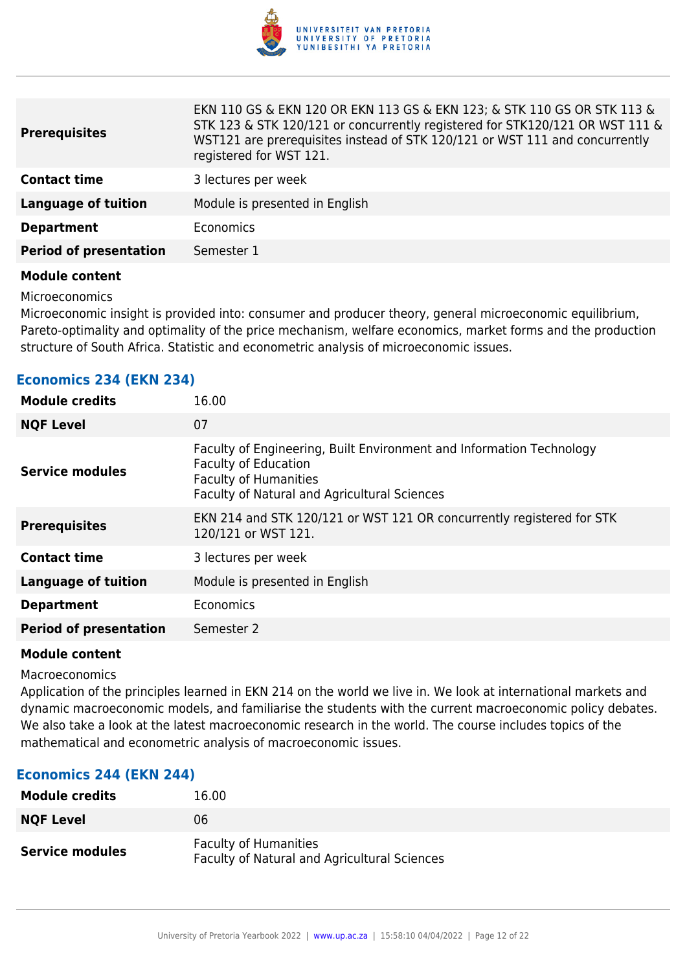

EKN 110 GS & EKN 120 OR EKN 113 GS & EKN 123; & STK 110 GS OR STK 113 &

| <b>Prerequisites</b>          | EKN 110 GS & EKN 120 OR EKN 113 GS & EKN 123; & STK 110 GS OR STK 113 &<br>STK 123 & STK 120/121 or concurrently registered for STK120/121 OR WST 111 &<br>WST121 are prerequisites instead of STK 120/121 or WST 111 and concurrently<br>registered for WST 121. |
|-------------------------------|-------------------------------------------------------------------------------------------------------------------------------------------------------------------------------------------------------------------------------------------------------------------|
| <b>Contact time</b>           | 3 lectures per week                                                                                                                                                                                                                                               |
| <b>Language of tuition</b>    | Module is presented in English                                                                                                                                                                                                                                    |
| <b>Department</b>             | Economics                                                                                                                                                                                                                                                         |
| <b>Period of presentation</b> | Semester 1                                                                                                                                                                                                                                                        |
|                               |                                                                                                                                                                                                                                                                   |

#### **Module content**

Microeconomics

Microeconomic insight is provided into: consumer and producer theory, general microeconomic equilibrium, Pareto-optimality and optimality of the price mechanism, welfare economics, market forms and the production structure of South Africa. Statistic and econometric analysis of microeconomic issues.

| <b>Module credits</b>         | 16.00                                                                                                                                                                               |
|-------------------------------|-------------------------------------------------------------------------------------------------------------------------------------------------------------------------------------|
| <b>NQF Level</b>              | 07                                                                                                                                                                                  |
| <b>Service modules</b>        | Faculty of Engineering, Built Environment and Information Technology<br><b>Faculty of Education</b><br><b>Faculty of Humanities</b><br>Faculty of Natural and Agricultural Sciences |
| <b>Prerequisites</b>          | EKN 214 and STK 120/121 or WST 121 OR concurrently registered for STK<br>120/121 or WST 121.                                                                                        |
| <b>Contact time</b>           | 3 lectures per week                                                                                                                                                                 |
| <b>Language of tuition</b>    | Module is presented in English                                                                                                                                                      |
| <b>Department</b>             | Economics                                                                                                                                                                           |
| <b>Period of presentation</b> | Semester 2                                                                                                                                                                          |
|                               |                                                                                                                                                                                     |

#### **Economics 234 (EKN 234)**

#### **Module content**

#### Macroeconomics

Application of the principles learned in EKN 214 on the world we live in. We look at international markets and dynamic macroeconomic models, and familiarise the students with the current macroeconomic policy debates. We also take a look at the latest macroeconomic research in the world. The course includes topics of the mathematical and econometric analysis of macroeconomic issues.

#### **Economics 244 (EKN 244)**

| <b>Module credits</b>  | 16.00                                                                        |
|------------------------|------------------------------------------------------------------------------|
| <b>NQF Level</b>       | 06                                                                           |
| <b>Service modules</b> | <b>Faculty of Humanities</b><br>Faculty of Natural and Agricultural Sciences |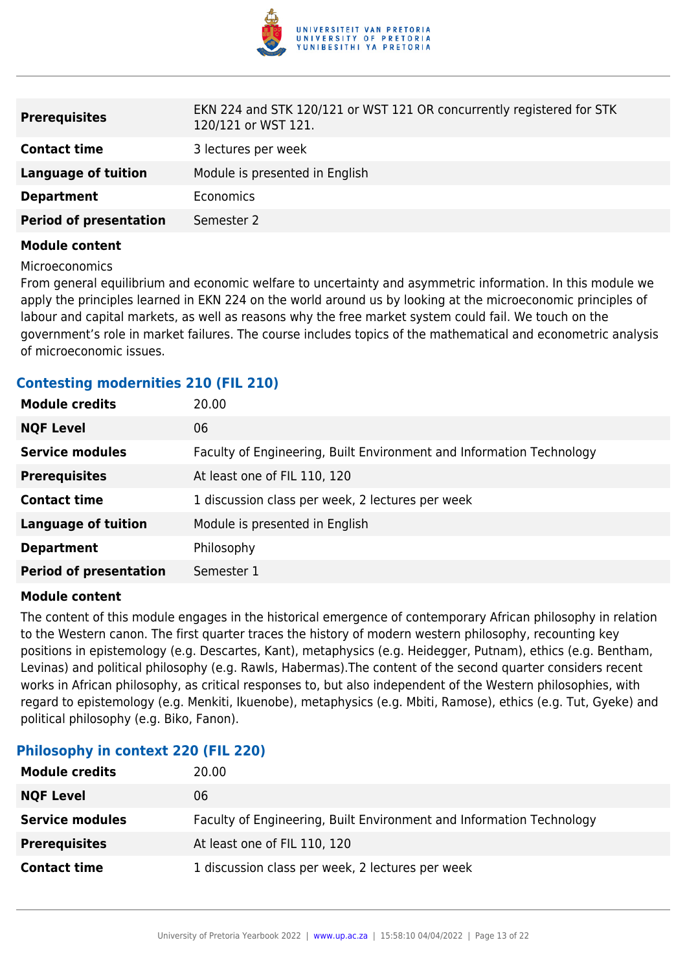

| <b>Prerequisites</b>          | EKN 224 and STK 120/121 or WST 121 OR concurrently registered for STK<br>120/121 or WST 121. |
|-------------------------------|----------------------------------------------------------------------------------------------|
| <b>Contact time</b>           | 3 lectures per week                                                                          |
| Language of tuition           | Module is presented in English                                                               |
| <b>Department</b>             | <b>Economics</b>                                                                             |
| <b>Period of presentation</b> | Semester 2                                                                                   |

#### Microeconomics

From general equilibrium and economic welfare to uncertainty and asymmetric information. In this module we apply the principles learned in EKN 224 on the world around us by looking at the microeconomic principles of labour and capital markets, as well as reasons why the free market system could fail. We touch on the government's role in market failures. The course includes topics of the mathematical and econometric analysis of microeconomic issues.

#### **Contesting modernities 210 (FIL 210)**

| <b>Module credits</b>         | 20.00                                                                |
|-------------------------------|----------------------------------------------------------------------|
| <b>NQF Level</b>              | 06                                                                   |
| <b>Service modules</b>        | Faculty of Engineering, Built Environment and Information Technology |
| <b>Prerequisites</b>          | At least one of FIL 110, 120                                         |
| <b>Contact time</b>           | 1 discussion class per week, 2 lectures per week                     |
| <b>Language of tuition</b>    | Module is presented in English                                       |
| <b>Department</b>             | Philosophy                                                           |
| <b>Period of presentation</b> | Semester 1                                                           |

#### **Module content**

The content of this module engages in the historical emergence of contemporary African philosophy in relation to the Western canon. The first quarter traces the history of modern western philosophy, recounting key positions in epistemology (e.g. Descartes, Kant), metaphysics (e.g. Heidegger, Putnam), ethics (e.g. Bentham, Levinas) and political philosophy (e.g. Rawls, Habermas).The content of the second quarter considers recent works in African philosophy, as critical responses to, but also independent of the Western philosophies, with regard to epistemology (e.g. Menkiti, Ikuenobe), metaphysics (e.g. Mbiti, Ramose), ethics (e.g. Tut, Gyeke) and political philosophy (e.g. Biko, Fanon).

#### **Philosophy in context 220 (FIL 220)**

| <b>Module credits</b>  | 20.00                                                                |
|------------------------|----------------------------------------------------------------------|
| <b>NQF Level</b>       | 06                                                                   |
| <b>Service modules</b> | Faculty of Engineering, Built Environment and Information Technology |
| <b>Prerequisites</b>   | At least one of FIL 110, 120                                         |
| <b>Contact time</b>    | 1 discussion class per week, 2 lectures per week                     |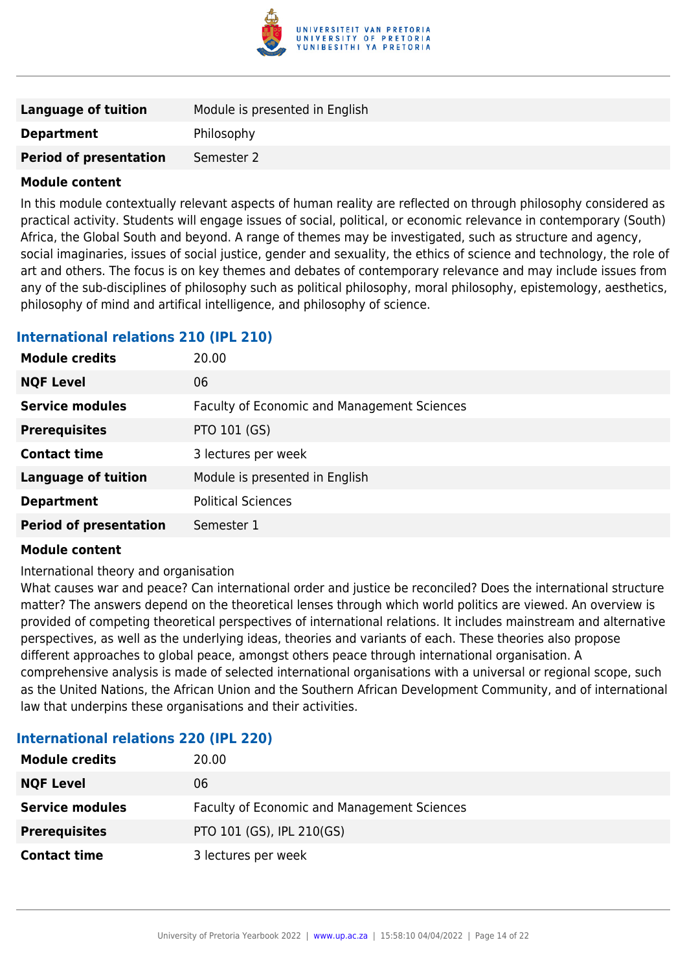

| Language of tuition           | Module is presented in English |
|-------------------------------|--------------------------------|
| <b>Department</b>             | Philosophy                     |
| <b>Period of presentation</b> | Semester 2                     |

In this module contextually relevant aspects of human reality are reflected on through philosophy considered as practical activity. Students will engage issues of social, political, or economic relevance in contemporary (South) Africa, the Global South and beyond. A range of themes may be investigated, such as structure and agency, social imaginaries, issues of social justice, gender and sexuality, the ethics of science and technology, the role of art and others. The focus is on key themes and debates of contemporary relevance and may include issues from any of the sub-disciplines of philosophy such as political philosophy, moral philosophy, epistemology, aesthetics, philosophy of mind and artifical intelligence, and philosophy of science.

#### **International relations 210 (IPL 210)**

| <b>Module credits</b>         | 20.00                                              |
|-------------------------------|----------------------------------------------------|
| <b>NQF Level</b>              | 06                                                 |
| <b>Service modules</b>        | <b>Faculty of Economic and Management Sciences</b> |
| <b>Prerequisites</b>          | PTO 101 (GS)                                       |
| <b>Contact time</b>           | 3 lectures per week                                |
| <b>Language of tuition</b>    | Module is presented in English                     |
| <b>Department</b>             | <b>Political Sciences</b>                          |
| <b>Period of presentation</b> | Semester 1                                         |

#### **Module content**

International theory and organisation

What causes war and peace? Can international order and justice be reconciled? Does the international structure matter? The answers depend on the theoretical lenses through which world politics are viewed. An overview is provided of competing theoretical perspectives of international relations. It includes mainstream and alternative perspectives, as well as the underlying ideas, theories and variants of each. These theories also propose different approaches to global peace, amongst others peace through international organisation. A comprehensive analysis is made of selected international organisations with a universal or regional scope, such as the United Nations, the African Union and the Southern African Development Community, and of international law that underpins these organisations and their activities.

| nternational relations 220 (IPL 220) |                                             |
|--------------------------------------|---------------------------------------------|
| <b>Module credits</b>                | 20.00                                       |
| <b>NQF Level</b>                     | 06                                          |
| <b>Service modules</b>               | Faculty of Economic and Management Sciences |
| Prerequisites                        | PTO 101 (GS), IPL 210(GS)                   |

### **International relations 220 (IPL 220)**

**Contact time** 3 lectures per week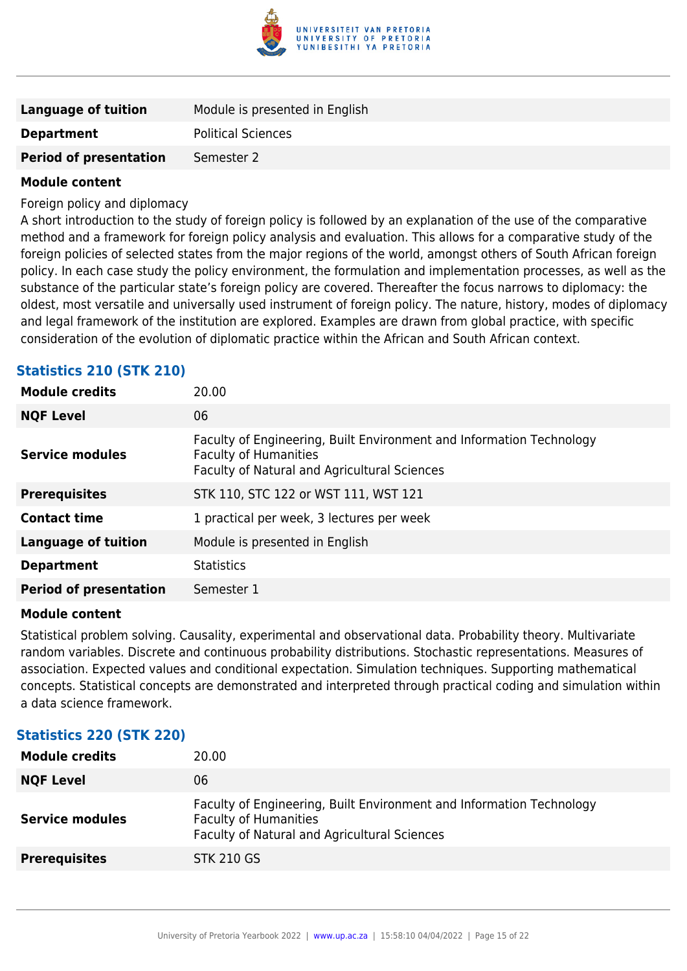

| <b>Language of tuition</b>    | Module is presented in English |
|-------------------------------|--------------------------------|
| <b>Department</b>             | <b>Political Sciences</b>      |
| <b>Period of presentation</b> | Semester 2                     |

Foreign policy and diplomacy

A short introduction to the study of foreign policy is followed by an explanation of the use of the comparative method and a framework for foreign policy analysis and evaluation. This allows for a comparative study of the foreign policies of selected states from the major regions of the world, amongst others of South African foreign policy. In each case study the policy environment, the formulation and implementation processes, as well as the substance of the particular state's foreign policy are covered. Thereafter the focus narrows to diplomacy: the oldest, most versatile and universally used instrument of foreign policy. The nature, history, modes of diplomacy and legal framework of the institution are explored. Examples are drawn from global practice, with specific consideration of the evolution of diplomatic practice within the African and South African context.

#### **Statistics 210 (STK 210)**

| <b>Module credits</b>         | 20.00                                                                                                                                                |
|-------------------------------|------------------------------------------------------------------------------------------------------------------------------------------------------|
| <b>NQF Level</b>              | 06                                                                                                                                                   |
| <b>Service modules</b>        | Faculty of Engineering, Built Environment and Information Technology<br><b>Faculty of Humanities</b><br>Faculty of Natural and Agricultural Sciences |
| <b>Prerequisites</b>          | STK 110, STC 122 or WST 111, WST 121                                                                                                                 |
| <b>Contact time</b>           | 1 practical per week, 3 lectures per week                                                                                                            |
| <b>Language of tuition</b>    | Module is presented in English                                                                                                                       |
| <b>Department</b>             | <b>Statistics</b>                                                                                                                                    |
| <b>Period of presentation</b> | Semester 1                                                                                                                                           |

#### **Module content**

Statistical problem solving. Causality, experimental and observational data. Probability theory. Multivariate random variables. Discrete and continuous probability distributions. Stochastic representations. Measures of association. Expected values and conditional expectation. Simulation techniques. Supporting mathematical concepts. Statistical concepts are demonstrated and interpreted through practical coding and simulation within a data science framework.

#### **Statistics 220 (STK 220)**

| <b>Module credits</b>  | 20.00                                                                                                                                                |
|------------------------|------------------------------------------------------------------------------------------------------------------------------------------------------|
| <b>NQF Level</b>       | 06                                                                                                                                                   |
| <b>Service modules</b> | Faculty of Engineering, Built Environment and Information Technology<br><b>Faculty of Humanities</b><br>Faculty of Natural and Agricultural Sciences |
| <b>Prerequisites</b>   | <b>STK 210 GS</b>                                                                                                                                    |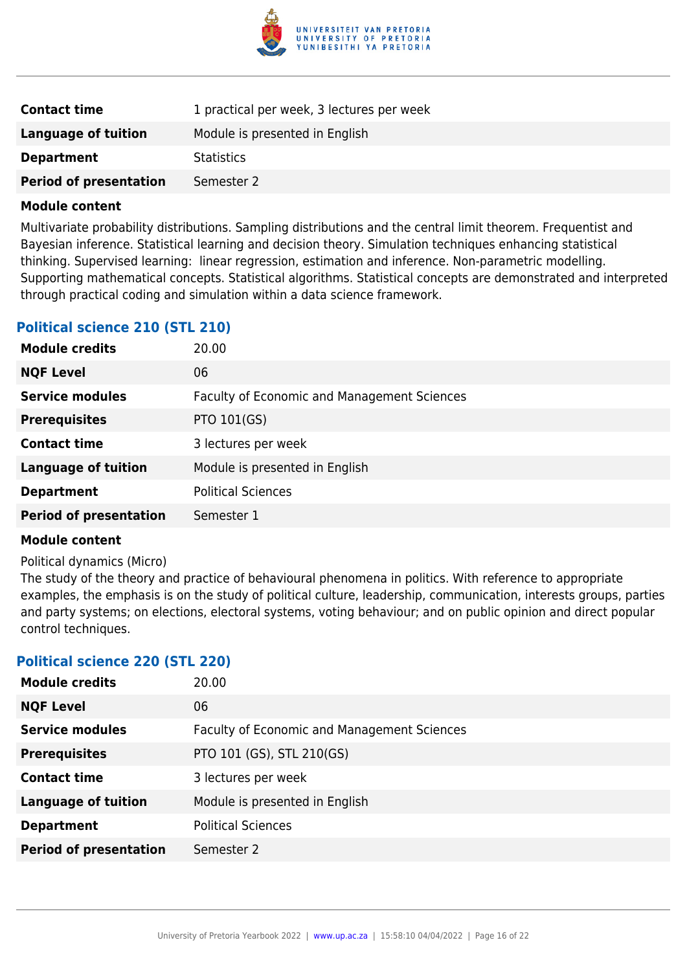

| <b>Contact time</b>           | 1 practical per week, 3 lectures per week |
|-------------------------------|-------------------------------------------|
| <b>Language of tuition</b>    | Module is presented in English            |
| <b>Department</b>             | <b>Statistics</b>                         |
| <b>Period of presentation</b> | Semester 2                                |

Multivariate probability distributions. Sampling distributions and the central limit theorem. Frequentist and Bayesian inference. Statistical learning and decision theory. Simulation techniques enhancing statistical thinking. Supervised learning: linear regression, estimation and inference. Non-parametric modelling. Supporting mathematical concepts. Statistical algorithms. Statistical concepts are demonstrated and interpreted through practical coding and simulation within a data science framework.

#### **Political science 210 (STL 210)**

| <b>Module credits</b>         | 20.00                                              |
|-------------------------------|----------------------------------------------------|
| <b>NQF Level</b>              | 06                                                 |
| <b>Service modules</b>        | <b>Faculty of Economic and Management Sciences</b> |
| <b>Prerequisites</b>          | PTO 101(GS)                                        |
| <b>Contact time</b>           | 3 lectures per week                                |
| <b>Language of tuition</b>    | Module is presented in English                     |
| <b>Department</b>             | <b>Political Sciences</b>                          |
| <b>Period of presentation</b> | Semester 1                                         |

#### **Module content**

#### Political dynamics (Micro)

The study of the theory and practice of behavioural phenomena in politics. With reference to appropriate examples, the emphasis is on the study of political culture, leadership, communication, interests groups, parties and party systems; on elections, electoral systems, voting behaviour; and on public opinion and direct popular control techniques.

#### **Political science 220 (STL 220)**

| <b>Module credits</b>         | 20.00                                              |
|-------------------------------|----------------------------------------------------|
| <b>NQF Level</b>              | 06                                                 |
| <b>Service modules</b>        | <b>Faculty of Economic and Management Sciences</b> |
| <b>Prerequisites</b>          | PTO 101 (GS), STL 210(GS)                          |
| <b>Contact time</b>           | 3 lectures per week                                |
| <b>Language of tuition</b>    | Module is presented in English                     |
| <b>Department</b>             | <b>Political Sciences</b>                          |
| <b>Period of presentation</b> | Semester 2                                         |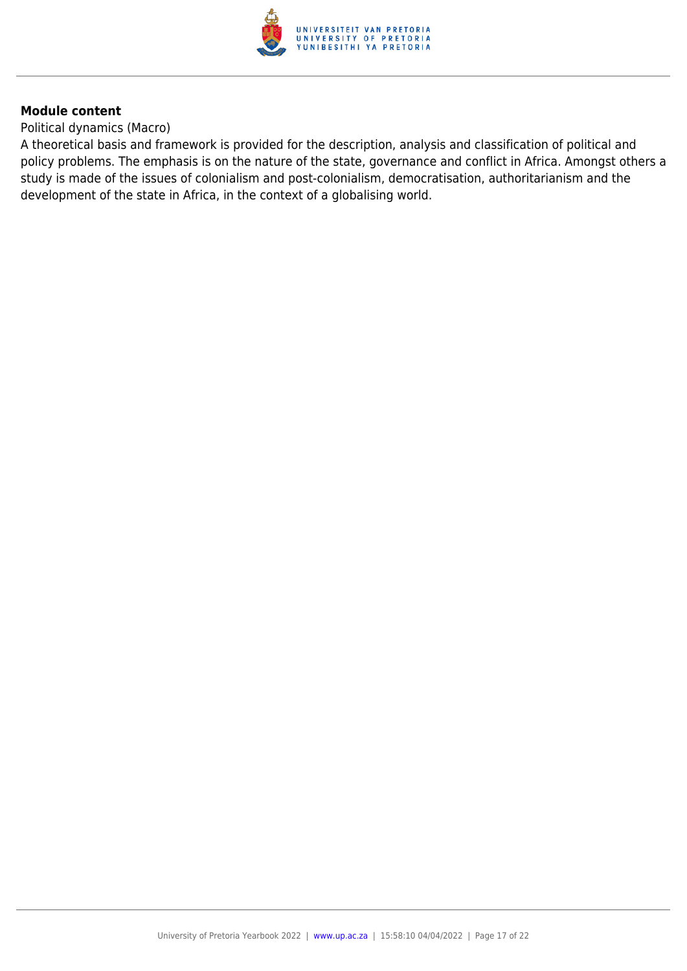

Political dynamics (Macro)

A theoretical basis and framework is provided for the description, analysis and classification of political and policy problems. The emphasis is on the nature of the state, governance and conflict in Africa. Amongst others a study is made of the issues of colonialism and post-colonialism, democratisation, authoritarianism and the development of the state in Africa, in the context of a globalising world.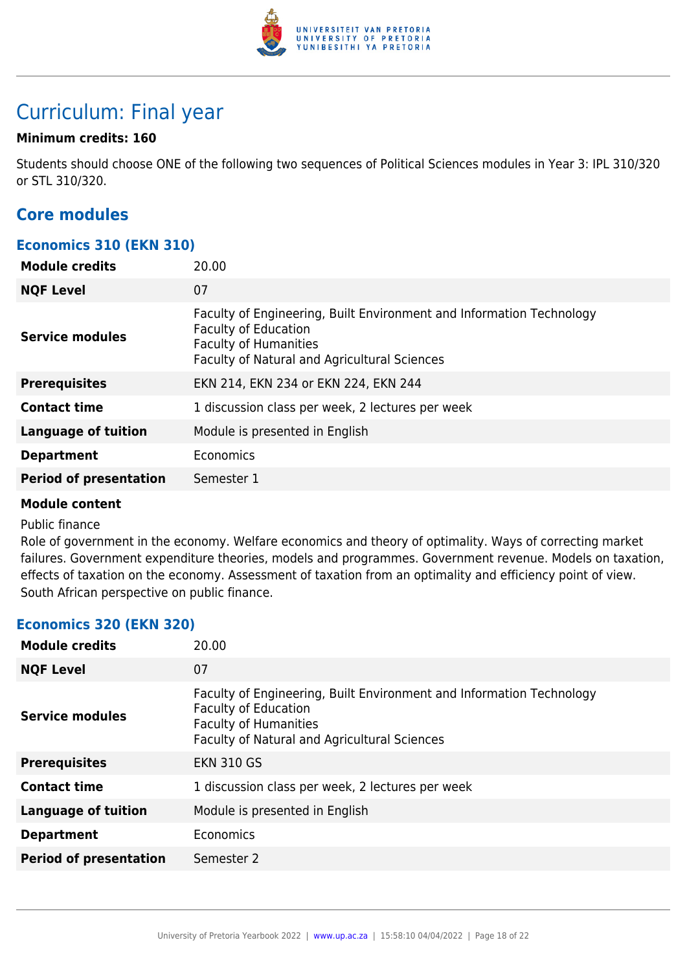

# Curriculum: Final year

#### **Minimum credits: 160**

Students should choose ONE of the following two sequences of Political Sciences modules in Year 3: IPL 310/320 or STL 310/320.

### **Core modules**

#### **Economics 310 (EKN 310)**

| <b>Module credits</b>         | 20.00                                                                                                                                                                               |
|-------------------------------|-------------------------------------------------------------------------------------------------------------------------------------------------------------------------------------|
| <b>NQF Level</b>              | 07                                                                                                                                                                                  |
| <b>Service modules</b>        | Faculty of Engineering, Built Environment and Information Technology<br><b>Faculty of Education</b><br><b>Faculty of Humanities</b><br>Faculty of Natural and Agricultural Sciences |
| <b>Prerequisites</b>          | EKN 214, EKN 234 or EKN 224, EKN 244                                                                                                                                                |
| <b>Contact time</b>           | 1 discussion class per week, 2 lectures per week                                                                                                                                    |
| <b>Language of tuition</b>    | Module is presented in English                                                                                                                                                      |
| <b>Department</b>             | Economics                                                                                                                                                                           |
| <b>Period of presentation</b> | Semester 1                                                                                                                                                                          |

#### **Module content**

#### Public finance

Role of government in the economy. Welfare economics and theory of optimality. Ways of correcting market failures. Government expenditure theories, models and programmes. Government revenue. Models on taxation, effects of taxation on the economy. Assessment of taxation from an optimality and efficiency point of view. South African perspective on public finance.

#### **Economics 320 (EKN 320)**

| <b>Module credits</b>         | 20.00                                                                                                                                                                               |
|-------------------------------|-------------------------------------------------------------------------------------------------------------------------------------------------------------------------------------|
| <b>NQF Level</b>              | 07                                                                                                                                                                                  |
| <b>Service modules</b>        | Faculty of Engineering, Built Environment and Information Technology<br><b>Faculty of Education</b><br><b>Faculty of Humanities</b><br>Faculty of Natural and Agricultural Sciences |
| <b>Prerequisites</b>          | <b>EKN 310 GS</b>                                                                                                                                                                   |
| <b>Contact time</b>           | 1 discussion class per week, 2 lectures per week                                                                                                                                    |
| <b>Language of tuition</b>    | Module is presented in English                                                                                                                                                      |
| <b>Department</b>             | Economics                                                                                                                                                                           |
| <b>Period of presentation</b> | Semester 2                                                                                                                                                                          |
|                               |                                                                                                                                                                                     |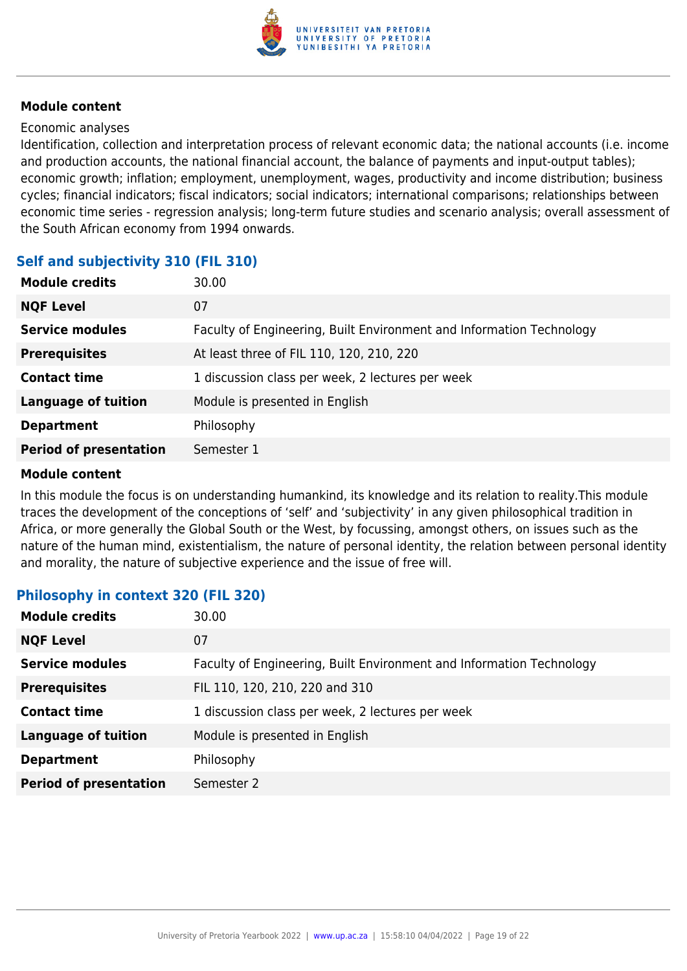

#### Economic analyses

Identification, collection and interpretation process of relevant economic data; the national accounts (i.e. income and production accounts, the national financial account, the balance of payments and input-output tables); economic growth; inflation; employment, unemployment, wages, productivity and income distribution; business cycles; financial indicators; fiscal indicators; social indicators; international comparisons; relationships between economic time series - regression analysis; long-term future studies and scenario analysis; overall assessment of the South African economy from 1994 onwards.

#### **Self and subjectivity 310 (FIL 310)**

| <b>Module credits</b>         | 30.00                                                                |
|-------------------------------|----------------------------------------------------------------------|
| <b>NQF Level</b>              | 07                                                                   |
| <b>Service modules</b>        | Faculty of Engineering, Built Environment and Information Technology |
| <b>Prerequisites</b>          | At least three of FIL 110, 120, 210, 220                             |
| <b>Contact time</b>           | 1 discussion class per week, 2 lectures per week                     |
| <b>Language of tuition</b>    | Module is presented in English                                       |
| <b>Department</b>             | Philosophy                                                           |
| <b>Period of presentation</b> | Semester 1                                                           |

#### **Module content**

In this module the focus is on understanding humankind, its knowledge and its relation to reality.This module traces the development of the conceptions of 'self' and 'subjectivity' in any given philosophical tradition in Africa, or more generally the Global South or the West, by focussing, amongst others, on issues such as the nature of the human mind, existentialism, the nature of personal identity, the relation between personal identity and morality, the nature of subjective experience and the issue of free will.

#### **Philosophy in context 320 (FIL 320)**

| <b>Module credits</b>         | 30.00                                                                |
|-------------------------------|----------------------------------------------------------------------|
| <b>NQF Level</b>              | 07                                                                   |
| <b>Service modules</b>        | Faculty of Engineering, Built Environment and Information Technology |
| <b>Prerequisites</b>          | FIL 110, 120, 210, 220 and 310                                       |
| <b>Contact time</b>           | 1 discussion class per week, 2 lectures per week                     |
| <b>Language of tuition</b>    | Module is presented in English                                       |
| <b>Department</b>             | Philosophy                                                           |
| <b>Period of presentation</b> | Semester 2                                                           |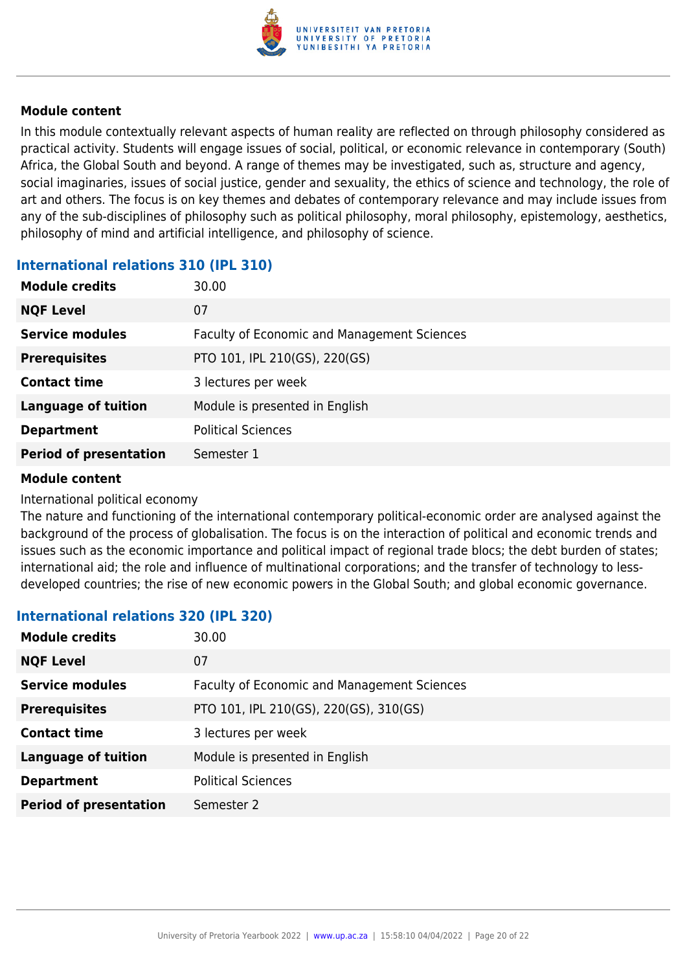

In this module contextually relevant aspects of human reality are reflected on through philosophy considered as practical activity. Students will engage issues of social, political, or economic relevance in contemporary (South) Africa, the Global South and beyond. A range of themes may be investigated, such as, structure and agency, social imaginaries, issues of social justice, gender and sexuality, the ethics of science and technology, the role of art and others. The focus is on key themes and debates of contemporary relevance and may include issues from any of the sub-disciplines of philosophy such as political philosophy, moral philosophy, epistemology, aesthetics, philosophy of mind and artificial intelligence, and philosophy of science.

#### **International relations 310 (IPL 310)**

| <b>Module credits</b>         | 30.00                                              |
|-------------------------------|----------------------------------------------------|
| <b>NQF Level</b>              | 07                                                 |
| <b>Service modules</b>        | <b>Faculty of Economic and Management Sciences</b> |
| <b>Prerequisites</b>          | PTO 101, IPL 210(GS), 220(GS)                      |
| <b>Contact time</b>           | 3 lectures per week                                |
| <b>Language of tuition</b>    | Module is presented in English                     |
| <b>Department</b>             | <b>Political Sciences</b>                          |
| <b>Period of presentation</b> | Semester 1                                         |

#### **Module content**

#### International political economy

The nature and functioning of the international contemporary political-economic order are analysed against the background of the process of globalisation. The focus is on the interaction of political and economic trends and issues such as the economic importance and political impact of regional trade blocs; the debt burden of states; international aid; the role and influence of multinational corporations; and the transfer of technology to lessdeveloped countries; the rise of new economic powers in the Global South; and global economic governance.

#### **International relations 320 (IPL 320)**

| <b>Module credits</b>         | 30.00                                              |
|-------------------------------|----------------------------------------------------|
| <b>NQF Level</b>              | 07                                                 |
| <b>Service modules</b>        | <b>Faculty of Economic and Management Sciences</b> |
| <b>Prerequisites</b>          | PTO 101, IPL 210(GS), 220(GS), 310(GS)             |
| <b>Contact time</b>           | 3 lectures per week                                |
| <b>Language of tuition</b>    | Module is presented in English                     |
| <b>Department</b>             | <b>Political Sciences</b>                          |
| <b>Period of presentation</b> | Semester 2                                         |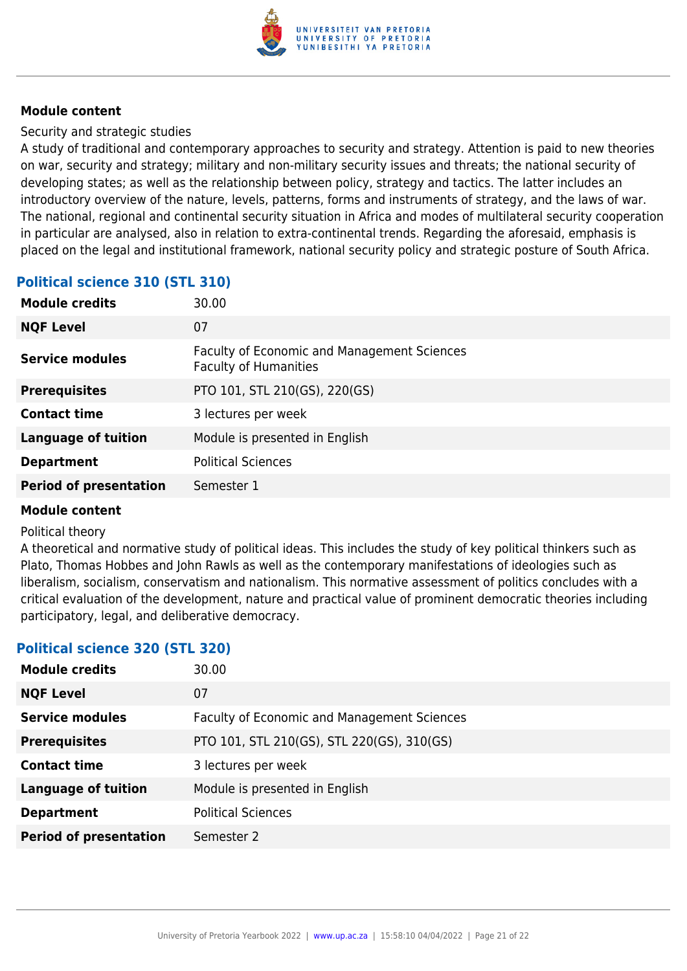

Security and strategic studies

A study of traditional and contemporary approaches to security and strategy. Attention is paid to new theories on war, security and strategy; military and non-military security issues and threats; the national security of developing states; as well as the relationship between policy, strategy and tactics. The latter includes an introductory overview of the nature, levels, patterns, forms and instruments of strategy, and the laws of war. The national, regional and continental security situation in Africa and modes of multilateral security cooperation in particular are analysed, also in relation to extra-continental trends. Regarding the aforesaid, emphasis is placed on the legal and institutional framework, national security policy and strategic posture of South Africa.

#### **Political science 310 (STL 310)**

| 30.00                                                                       |
|-----------------------------------------------------------------------------|
| 07                                                                          |
| Faculty of Economic and Management Sciences<br><b>Faculty of Humanities</b> |
| PTO 101, STL 210(GS), 220(GS)                                               |
| 3 lectures per week                                                         |
| Module is presented in English                                              |
| <b>Political Sciences</b>                                                   |
| Semester 1                                                                  |
|                                                                             |

#### **Module content**

#### Political theory

A theoretical and normative study of political ideas. This includes the study of key political thinkers such as Plato, Thomas Hobbes and John Rawls as well as the contemporary manifestations of ideologies such as liberalism, socialism, conservatism and nationalism. This normative assessment of politics concludes with a critical evaluation of the development, nature and practical value of prominent democratic theories including participatory, legal, and deliberative democracy.

#### **Political science 320 (STL 320)**

| <b>Module credits</b>         | 30.00                                              |
|-------------------------------|----------------------------------------------------|
| <b>NQF Level</b>              | 07                                                 |
| <b>Service modules</b>        | <b>Faculty of Economic and Management Sciences</b> |
| <b>Prerequisites</b>          | PTO 101, STL 210(GS), STL 220(GS), 310(GS)         |
| <b>Contact time</b>           | 3 lectures per week                                |
| <b>Language of tuition</b>    | Module is presented in English                     |
| <b>Department</b>             | <b>Political Sciences</b>                          |
| <b>Period of presentation</b> | Semester 2                                         |